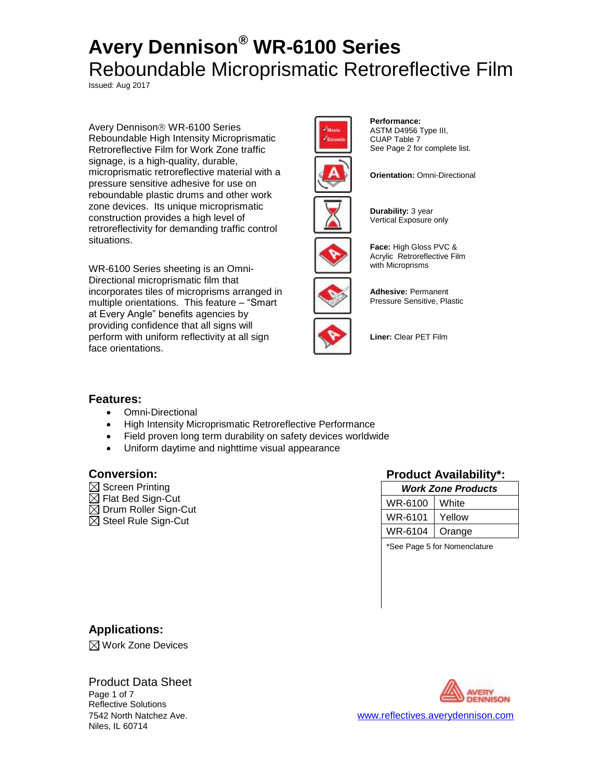Issued: Aug 2017

Avery Dennison<sup>®</sup> WR-6100 Series Reboundable High Intensity Microprismatic Retroreflective Film for Work Zone traffic signage, is a high-quality, durable, microprismatic retroreflective material with a pressure sensitive adhesive for use on reboundable plastic drums and other work zone devices. Its unique microprismatic construction provides a high level of retroreflectivity for demanding traffic control situations.

WR-6100 Series sheeting is an Omni-Directional microprismatic film that incorporates tiles of microprisms arranged in multiple orientations. This feature – "Smart at Every Angle" benefits agencies by providing confidence that all signs will perform with uniform reflectivity at all sign face orientations.



**Performance:** ASTM D4956 Type III, CUAP Table 7



See Page 2 for complete list.



**Durability:** 3 year Vertical Exposure only



**Face:** High Gloss PVC & Acrylic Retroreflective Film with Microprisms



**Adhesive:** Permanent Pressure Sensitive, Plastic

**Liner:** Clear PET Film

# **Features:**

- Omni-Directional
- High Intensity Microprismatic Retroreflective Performance
- Field proven long term durability on safety devices worldwide
- Uniform daytime and nighttime visual appearance

- $\boxtimes$  Screen Printing
- $\boxtimes$  Flat Bed Sign-Cut
- $\boxtimes$  Drum Roller Sign-Cut
- $\boxtimes$  Steel Rule Sign-Cut

## **Conversion: Product Availability\*:**

| Work Zone Products |        |  |
|--------------------|--------|--|
| WR-6100            | White  |  |
| WR-6101            | Yellow |  |
| WR-6104            | Orange |  |
|                    |        |  |

\*See Page 5 for Nomenclature

# **Applications:**

 $\boxtimes$  Work Zone Devices

# Product Data Sheet

Page 1 of 7 Reflective Solutions Niles, IL 60714

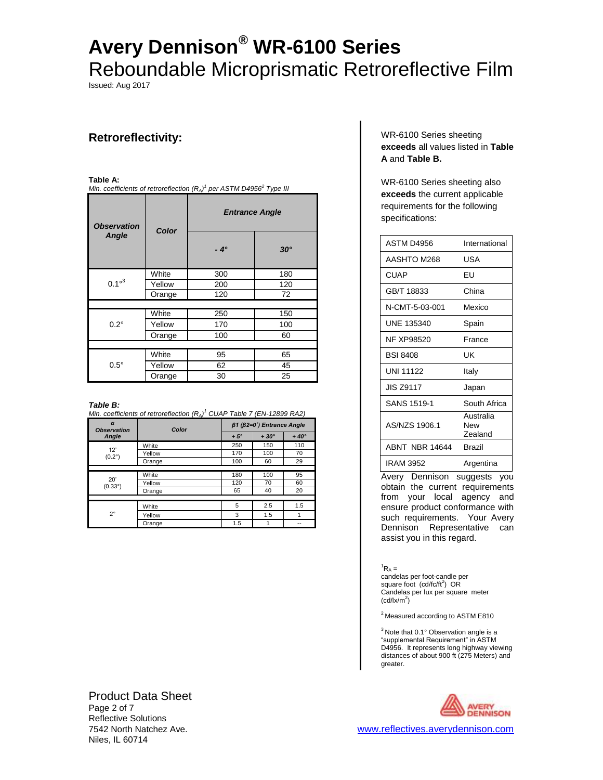Issued: Aug 2017

# **Retroreflectivity:**

### **Table A:**

*Min. coefficients of retroreflection (RA) 1 per ASTM D4956<sup>2</sup> Type III*

| <b>Observation</b><br>Angle | Color  | <b>Entrance Angle</b> |            |
|-----------------------------|--------|-----------------------|------------|
|                             |        | $-4^\circ$            | $30^\circ$ |
|                             | White  | 300                   | 180        |
| $0.1^{\circ 3}$             | Yellow | 200                   | 120        |
|                             | Orange | 120                   | 72         |
|                             |        |                       |            |
|                             | White  | 250                   | 150        |
| $0.2^\circ$                 | Yellow | 170                   | 100        |
|                             | Orange | 100                   | 60         |
|                             |        |                       |            |
| $0.5^\circ$                 | White  | 95                    | 65         |
|                             | Yellow | 62                    | 45         |
|                             | Orange | 30                    | 25         |

### *Table B:*

*Min. coefficients of retroreflection (RA) <sup>1</sup> CUAP Table 7 (EN-12899 RA2)*

| $\alpha$<br><b>Observation</b><br>Angle | Color  | $\beta$ 1 ( $\beta$ 2=0°) Entrance Angle |             |             |
|-----------------------------------------|--------|------------------------------------------|-------------|-------------|
|                                         |        | $+5^\circ$                               | $+30^\circ$ | $+40^\circ$ |
| 12"<br>$(0.2^\circ)$                    | White  | 250                                      | 150         | 110         |
|                                         | Yellow | 170                                      | 100         | 70          |
|                                         | Orange | 100                                      | 60          | 29          |
|                                         |        |                                          |             |             |
| 20'<br>$(0.33^{\circ})$                 | White  | 180                                      | 100         | 95          |
|                                         | Yellow | 120                                      | 70          | 60          |
|                                         | Orange | 65                                       | 40          | 20          |
|                                         |        |                                          |             |             |
| $2^{\circ}$                             | White  | 5                                        | 2.5         | 1.5         |
|                                         | Yellow | 3                                        | 1.5         |             |
|                                         | Orange | 1.5                                      | 4           |             |

### WR-6100 Series sheeting **exceeds** all values listed in **Table A** and **Table B.**

WR-6100 Series sheeting also **exceeds** the current applicable requirements for the following specifications:

| ASTM D4956        | International               |
|-------------------|-----------------------------|
| AASHTO M268       | USA                         |
| <b>CUAP</b>       | FU                          |
| GB/T 18833        | China                       |
| N-CMT-5-03-001    | Mexico                      |
| UNE 135340        | Spain                       |
| <b>NF XP98520</b> | France                      |
| <b>BSI 8408</b>   | UΚ                          |
| <b>UNI 11122</b>  | Italy                       |
| <b>JIS Z9117</b>  | Japan                       |
| SANS 1519-1       | South Africa                |
| AS/NZS 1906.1     | Australia<br>New<br>Zealand |
| ABNT NBR 14644    | <b>Brazil</b>               |
| <b>IRAM 3952</b>  | Argentina                   |

Avery Dennison suggests you obtain the current requirements from your local agency and ensure product conformance with such requirements. Your Avery Dennison Representative can assist you in this regard.

### ${}^{1}R_{A} =$

candelas per foot-candle per square foot (cd/fc/ft<sup>2</sup>) OR Candelas per lux per square meter  $(cd/lx/m^2)$ 

<sup>2</sup> Measured according to ASTM E810

 $3$  Note that 0.1 $\degree$  Observation angle is a "supplemental Requirement" in ASTM D4956. It represents long highway viewing distances of about 900 ft (275 Meters) and greater.



Product Data Sheet Page 2 of 7 Reflective Solutions Niles, IL 60714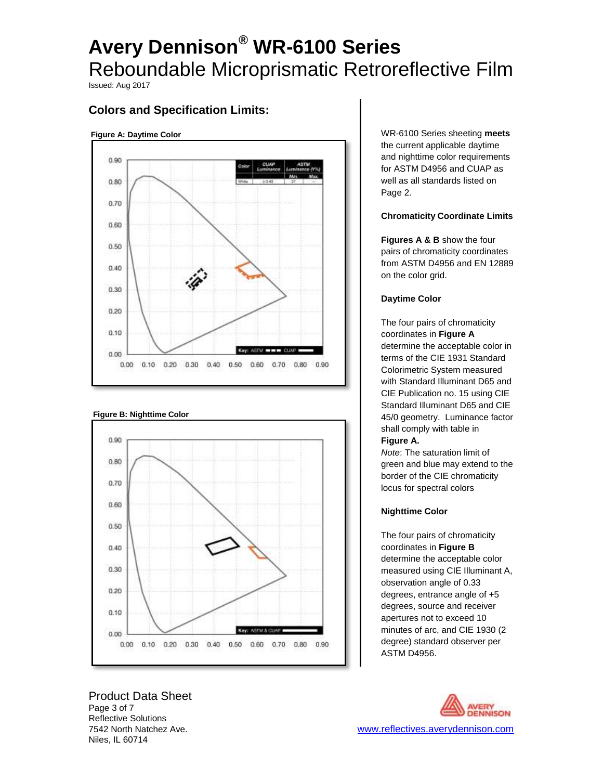Issued: Aug 2017

# **Colors and Specification Limits:**

### **Figure A: Daytime Color**



### **Figure B: Nighttime Color**



Product Data Sheet Page 3 of 7 Reflective Solutions Niles, IL 60714

WR-6100 Series sheeting **meets** the current applicable daytime and nighttime color requirements for ASTM D4956 and CUAP as well as all standards listed on Page 2.

### **Chromaticity Coordinate Limits**

**Figures A & B** show the four pairs of chromaticity coordinates from ASTM D4956 and EN 12889 on the color grid.

### **Daytime Color**

The four pairs of chromaticity coordinates in **Figure A**  determine the acceptable color in terms of the CIE 1931 Standard Colorimetric System measured with Standard Illuminant D65 and CIE Publication no. 15 using CIE Standard Illuminant D65 and CIE 45/0 geometry.Luminance factor shall comply with table in **Figure A.**

*Note*: The saturation limit of green and blue may extend to the border of the CIE chromaticity locus for spectral colors

## **Nighttime Color**

The four pairs of chromaticity coordinates in **Figure B**  determine the acceptable color measured using CIE Illuminant A, observation angle of 0.33 degrees, entrance angle of +5 degrees, source and receiver apertures not to exceed 10 minutes of arc, and CIE 1930 (2 degree) standard observer per ASTM D4956.

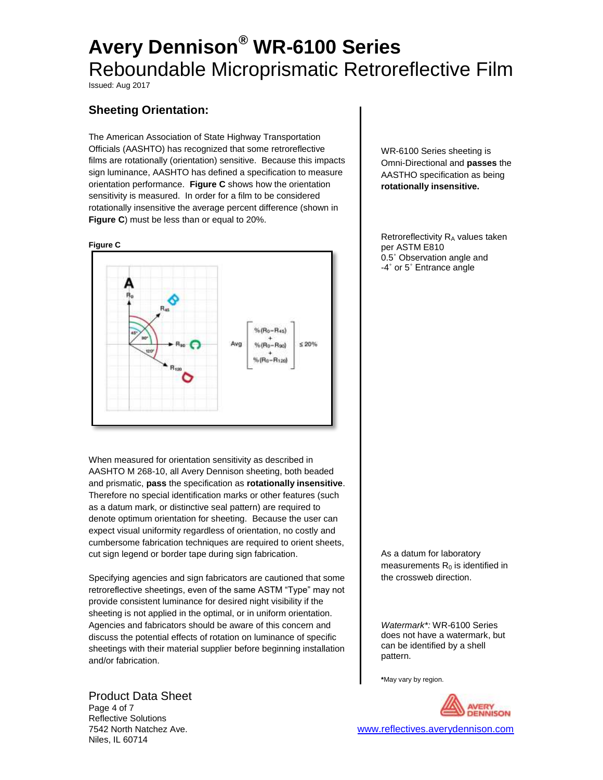Issued: Aug 2017

# **Sheeting Orientation:**

The American Association of State Highway Transportation Officials (AASHTO) has recognized that some retroreflective films are rotationally (orientation) sensitive. Because this impacts sign luminance, AASHTO has defined a specification to measure orientation performance. **Figure C** shows how the orientation sensitivity is measured. In order for a film to be considered rotationally insensitive the average percent difference (shown in **Figure C**) must be less than or equal to 20%.



When measured for orientation sensitivity as described in AASHTO M 268-10, all Avery Dennison sheeting, both beaded and prismatic, **pass** the specification as **rotationally insensitive**. Therefore no special identification marks or other features (such as a datum mark, or distinctive seal pattern) are required to denote optimum orientation for sheeting. Because the user can expect visual uniformity regardless of orientation, no costly and cumbersome fabrication techniques are required to orient sheets, cut sign legend or border tape during sign fabrication.

Specifying agencies and sign fabricators are cautioned that some retroreflective sheetings, even of the same ASTM "Type" may not provide consistent luminance for desired night visibility if the sheeting is not applied in the optimal, or in uniform orientation. Agencies and fabricators should be aware of this concern and discuss the potential effects of rotation on luminance of specific sheetings with their material supplier before beginning installation and/or fabrication.

### Product Data Sheet

Page 4 of 7 Reflective Solutions Niles, IL 60714

WR-6100 Series sheeting is Omni-Directional and **passes** the AASTHO specification as being **rotationally insensitive.**

Retroreflectivity  $R_A$  values taken per ASTM E810 0.5˚ Observation angle and -4˚ or 5˚ Entrance angle

As a datum for laboratory measurements  $R_0$  is identified in the crossweb direction.

*Watermark\*:* WR-6100 Series does not have a watermark, but can be identified by a shell pattern.

**\***May vary by region.

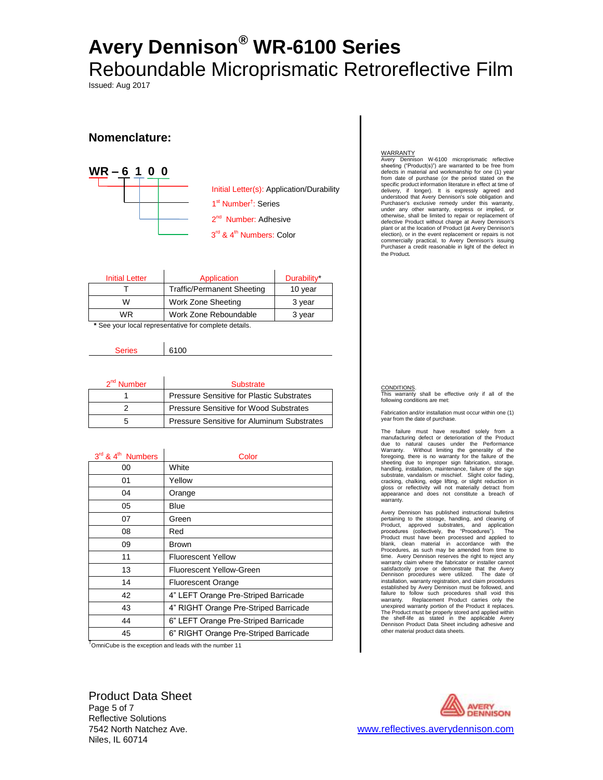Issued: Aug 2017

# **Nomenclature:**



2<sup>nd</sup> Number: Adhesive Initial Letter(s): Application/Durability 1<sup>st</sup> Number<sup>†</sup>: Series 3<sup>rd</sup> & 4<sup>th</sup> Numbers: Color

| <b>Initial Letter</b> | Application                       | Durability* |
|-----------------------|-----------------------------------|-------------|
|                       | <b>Traffic/Permanent Sheeting</b> | 10 year     |
| w                     | Work Zone Sheeting                | 3 year      |
| WR                    | Work Zone Reboundable             | 3 year      |
| . .                   | $\cdot$ $\cdot$ $\cdot$<br>.      |             |

**\*** See your local representative for complete details.

Series 6100

| $2nd$ Number | Substrate                                        |  |
|--------------|--------------------------------------------------|--|
|              | <b>Pressure Sensitive for Plastic Substrates</b> |  |
|              | Pressure Sensitive for Wood Substrates           |  |
| 'n           | Pressure Sensitive for Aluminum Substrates       |  |

| $3rd$ & 4 <sup>th</sup> Numbers | Color                                 |
|---------------------------------|---------------------------------------|
| 00                              | White                                 |
| 01                              | Yellow                                |
| 04                              | Orange                                |
| 05                              | Blue                                  |
| 07                              | Green                                 |
| 08                              | Red                                   |
| 09                              | <b>Brown</b>                          |
| 11                              | <b>Fluorescent Yellow</b>             |
| 13                              | Fluorescent Yellow-Green              |
| 14                              | <b>Fluorescent Orange</b>             |
| 42                              | 4" LEFT Orange Pre-Striped Barricade  |
| 43                              | 4" RIGHT Orange Pre-Striped Barricade |
| 44                              | 6" LEFT Orange Pre-Striped Barricade  |
| 45                              | 6" RIGHT Orange Pre-Striped Barricade |

<sup>†</sup>OmniCube is the exception and leads with the number 11

#### WARRANTY

Avery Dennison W-6100 microprismatic reflective sheeting ("Product(s)") are warranted to be free from defects in material and workmanship for one (1) year from date of purchase (or the period stated on the specific product information literature in effect at time of delivery, if longer). It is expressly agreed and understood that Avery Dennison's sole obligation and Purchaser's exclusive remedy under this warranty, under any other warranty, express or implied, or otherwise, shall be limited to repair or replacement of defective Product without charge at Avery Dennison's plant or at the location of Product (at Avery Dennison's election), or in the event replacement or repairs is not commercially practical, to Avery Dennison's issuing Purchaser a credit reasonable in light of the defect in the Product*.*

CONDITIONS.

This warranty shall be effective only if all of the following conditions are met:

Fabrication and/or installation must occur within one (1) year from the date of purchase.

The failure must have resulted solely from a manufacturing defect or deterioration of the Product due to natural causes under the Performance Warranty. Without limiting the generality of the foregoing, there is no warranty for the failure of the sheeting due to improper sign fabrication, storage, handling, installation, maintenance, failure of the sign substrate, vandalism or mischief. Slight color fading, cracking, chalking, edge lifting, or slight reduction in gloss or reflectivity will not materially detract from appearance and does not constitute a breach of warranty.

Avery Dennison has published instructional bulletins pertaining to the storage, handling, and cleaning of<br>Product, approved substrates, and application<br>procedures (collectively, the "Procedures"). The<br>Product must have been processed and applied to<br>blank, clean material in a Procedures, as such may be amended from time to time. Avery Dennison reserves the right to reject any warranty claim where the fabricator or installer cannot satisfactorily prove or demonstrate that the Avery Dennison procedures were utilized. The date of installation, warranty registration, and claim procedures established by Avery Dennison must be followed, and failure to follow such procedures shall void this warranty. Replacement Product carries only the unexpired warranty portion of the Product it replaces. The Product must be properly stored and applied within the shelf-life as stated in the applicable Avery Dennison Product Data Sheet including adhesive and other material product data sheets.

Product Data Sheet Page 5 of 7 Reflective Solutions Niles, IL 60714

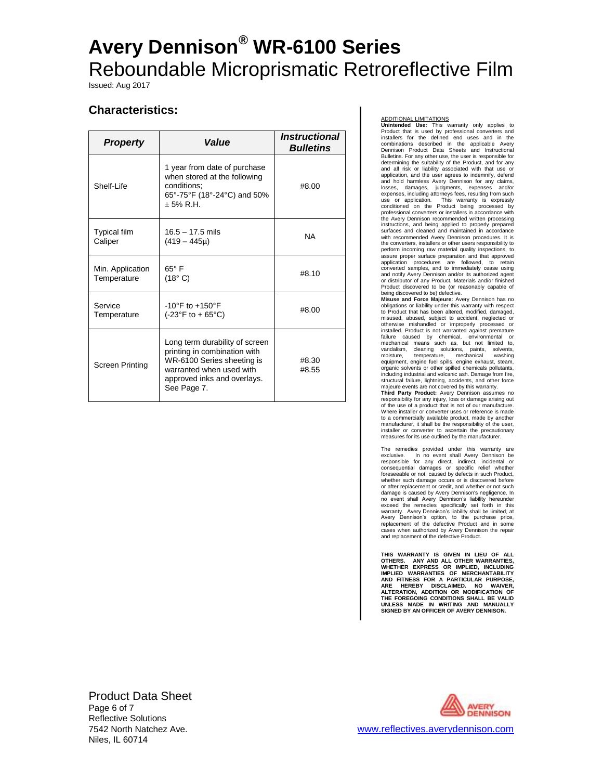Issued: Aug 2017

# **Characteristics:**

| <b>Property</b>                 | <i><b>Value</b></i>                                                                                                                                                    | <i><b>Instructional</b></i><br><b>Bulletins</b> |
|---------------------------------|------------------------------------------------------------------------------------------------------------------------------------------------------------------------|-------------------------------------------------|
| Shelf-Life                      | 1 year from date of purchase<br>when stored at the following<br>conditions:<br>65°-75°F (18°-24°C) and 50%<br>$+5%$ R.H.                                               | #8.00                                           |
| <b>Typical film</b><br>Caliper  | $16.5 - 17.5$ mils<br>$(419 - 445\mu)$                                                                                                                                 | <b>NA</b>                                       |
| Min. Application<br>Temperature | $65^\circ$ F<br>(18° C)                                                                                                                                                | #8.10                                           |
| Service<br>Temperature          | $-10^{\circ}$ F to $+150^{\circ}$ F<br>$(-23^{\circ}F to + 65^{\circ}C)$                                                                                               | #8.00                                           |
| Screen Printing                 | Long term durability of screen<br>printing in combination with<br>WR-6100 Series sheeting is<br>warranted when used with<br>approved inks and overlays.<br>See Page 7. | #8.30<br>#8.55                                  |

ADDITIONAL LIMITATIONS **Unintended Use:** This warranty only applies to Product that is used by professional converters and installers for the defined end uses and in the combinations described in the applicable Avery Dennison Product Data Sheets and Instructional Bulletins. For any other use, the user is responsible for determining the suitability of the Product, and for any and all risk or liability associated with that use or application, and the user agrees to indemnity, defend<br>and hold harmless Avery Dennison for any claims,<br>losses, damages, judgments, expenses and/or<br>expenses, including attorneys fees, resulting from such<br>use or application. professional converters or installers in accordance with the Avery Dennison recommended written processing instructions, and being applied to properly prepared surfaces and cleaned and maintained in accordance with recommended Avery Dennison procedures. It is the converters, installers or other users responsibility to perform incoming raw material quality inspections, to assure proper surface preparation and that approved application procedures are followed, to retain converted samples, and to immediately cease using and notify Avery Dennison and/or its authorized agent or distributor of any Product, Materials and/or finished Product discovered to be (or reasonably capable of

being discovered to be) defective. **Misuse and Force Majeure:** Avery Dennison has no obligations or liability under this warranty with respect to Product that has been altered, modified, damaged, misused, abused, subject to accident, neglected or otherwise mishandled or improperly processed or installed. Product is not warranted against premature failure caused by chemical, environmental or mechanical means such as, but not limited to, vandalism, cleaning solutions, paints, solvents, moisture, temperature, mechanical washing equipment, engine fuel spills, engine exhaust, steam, organic solvents or other spilled chemicals pollutants, including industrial and volcanic ash. Damage from fire, structural failure, lightning, accidents, and other force

majeure events are not covered by this warranty. **Third Party Product:** Avery Dennison assumes no responsibility for any injury, loss or damage arising out of the use of a product that is not of our manufacture. Where installer or converter uses or reference is made to a commercially available product, made by another manufacturer, it shall be the responsibility of the user, installer or converter to ascertain the precautionary measures for its use outlined by the manufacturer.

The remedies provided under this warranty are<br>exclusive. In no event shall Avery Dennison be<br>responsible for any direct, indirect, incidental or<br>consequential damages or specific relief whether<br>foreseeable or not, caused b whether such damage occurs or is discovered before or after replacement or credit, and whether or not such damage is caused by Avery Dennison's negligence. In no event shall Avery Dennison's liability hereunder exceed the remedies specifically set forth in this warranty. Avery Dennison's liability shall be limited, at Avery Dennison's option, to the purchase price, replacement of the defective Product and in some cases when authorized by Avery Dennison the repair and replacement of the defective Product.

**THIS WARRANTY IS GIVEN IN LIEU OF ALL OTHERS. ANY AND ALL OTHER WARRANTIES, WHETHER EXPRESS OR IMPLIED, INCLUDING IMPLIED WARRANTIES OF MERCHANTABILITY AND FITNESS FOR A PARTICULAR PURPOSE, ARE HEREBY DISCLAIMED. NO WAIVER, ALTERATION, ADDITION OR MODIFICATION OF THE FOREGOING CONDITIONS SHALL BE VALID UNLESS MADE IN WRITING AND MANUALLY SIGNED BY AN OFFICER OF AVERY DENNISON.**

Product Data Sheet Page 6 of 7 Reflective Solutions Niles, IL 60714